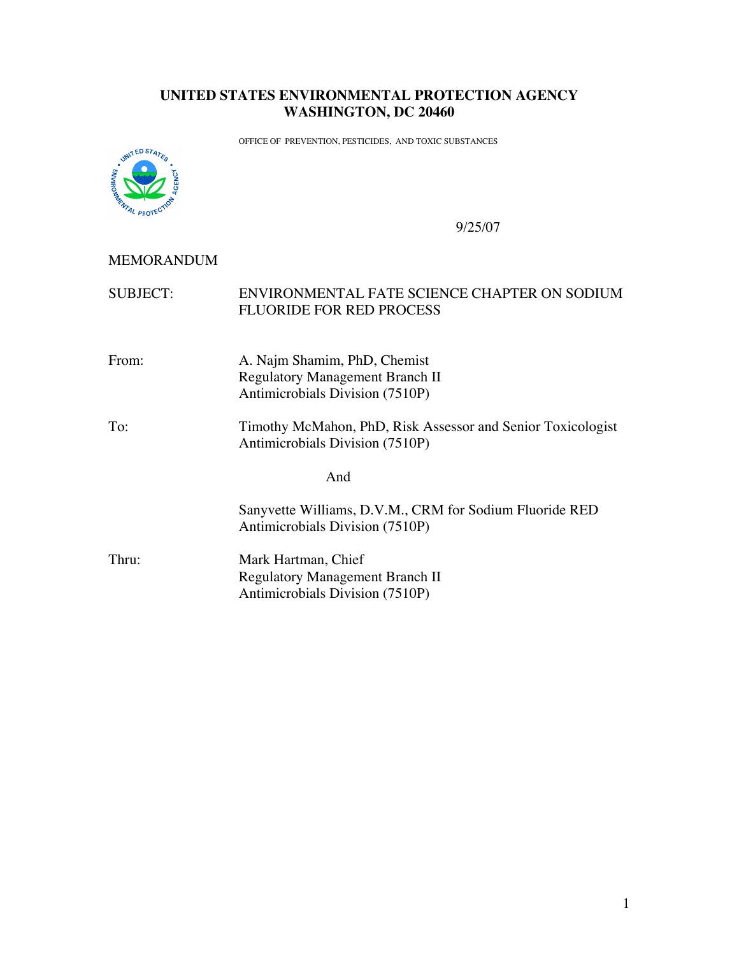#### **UNITED STATES ENVIRONMENTAL PROTECTION AGENCY WASHINGTON, DC 20460**

OFFICE OF PREVENTION, PESTICIDES, AND TOXIC SUBSTANCES



9/25/07

#### MEMORANDUM

## SUBJECT: ENVIRONMENTAL FATE SCIENCE CHAPTER ON SODIUM FLUORIDE FOR RED PROCESS

- From: A. Najm Shamim, PhD, Chemist Regulatory Management Branch II Antimicrobials Division (7510P)
- To: Timothy McMahon, PhD, Risk Assessor and Senior Toxicologist Antimicrobials Division (7510P)

And

Sanyvette Williams, D.V.M., CRM for Sodium Fluoride RED Antimicrobials Division (7510P)

Thru: Mark Hartman, Chief Regulatory Management Branch II Antimicrobials Division (7510P)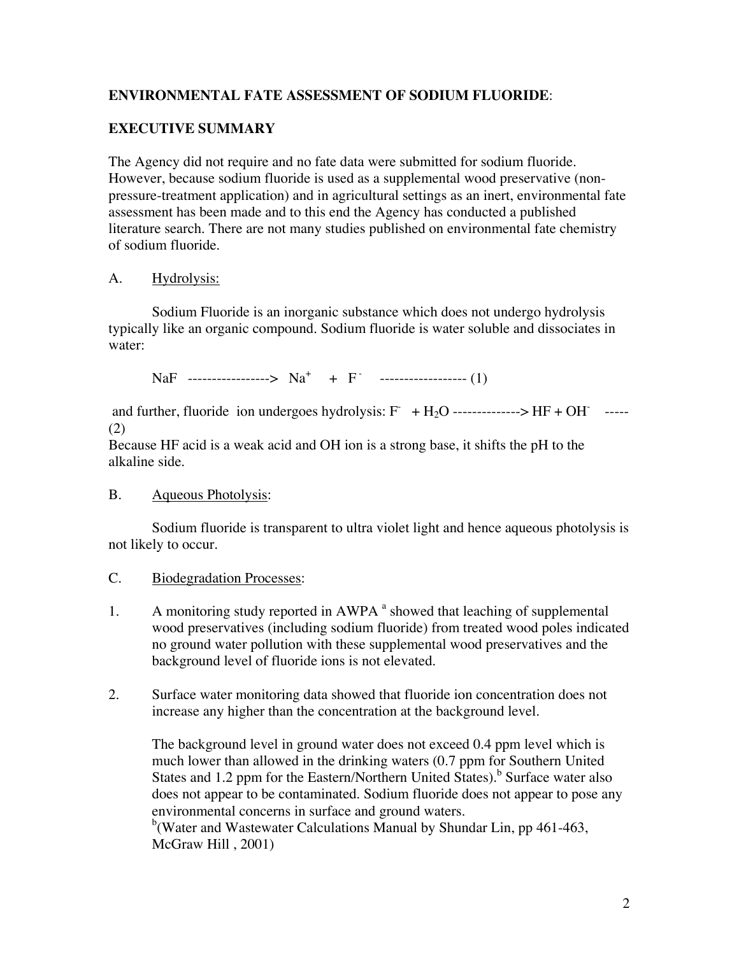# **ENVIRONMENTAL FATE ASSESSMENT OF SODIUM FLUORIDE**:

# **EXECUTIVE SUMMARY**

The Agency did not require and no fate data were submitted for sodium fluoride. However, because sodium fluoride is used as a supplemental wood preservative (nonpressure-treatment application) and in agricultural settings as an inert, environmental fate assessment has been made and to this end the Agency has conducted a published literature search. There are not many studies published on environmental fate chemistry of sodium fluoride.

## A. Hydrolysis:

Sodium Fluoride is an inorganic substance which does not undergo hydrolysis typically like an organic compound. Sodium fluoride is water soluble and dissociates in water:

NaF ---------------->  $\text{Na}^+$  + F ------------------ (1)

and further, fluoride ion undergoes hydrolysis:  $F + H_2O$  -------------->  $HF + OH^-$  -----(2)

Because HF acid is a weak acid and OH ion is a strong base, it shifts the pH to the alkaline side.

# B. Aqueous Photolysis:

Sodium fluoride is transparent to ultra violet light and hence aqueous photolysis is not likely to occur.

#### C. Biodegradation Processes:

- 1. A monitoring study reported in  $AWPA<sup>a</sup>$  showed that leaching of supplemental wood preservatives (including sodium fluoride) from treated wood poles indicated no ground water pollution with these supplemental wood preservatives and the background level of fluoride ions is not elevated.
- 2. Surface water monitoring data showed that fluoride ion concentration does not increase any higher than the concentration at the background level.

The background level in ground water does not exceed 0.4 ppm level which is much lower than allowed in the drinking waters (0.7 ppm for Southern United States and 1.2 ppm for the Eastern/Northern United States).<sup>b</sup> Surface water also does not appear to be contaminated. Sodium fluoride does not appear to pose any environmental concerns in surface and ground waters.

 $b$ <sup>o</sup>(Water and Wastewater Calculations Manual by Shundar Lin, pp 461-463, McGraw Hill , 2001)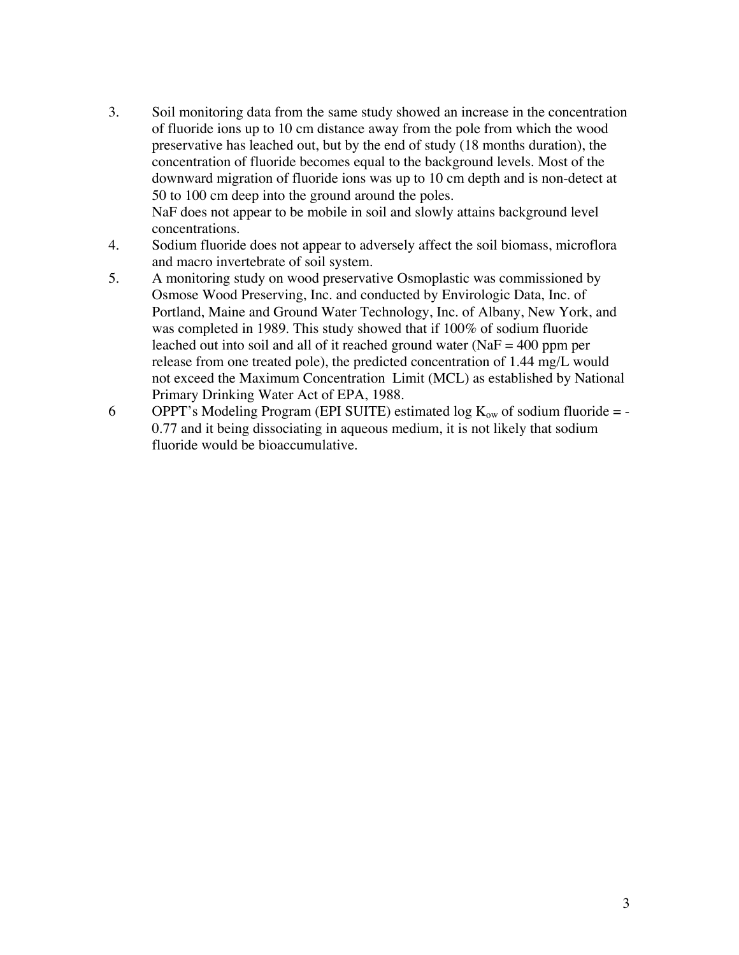- 3. Soil monitoring data from the same study showed an increase in the concentration of fluoride ions up to 10 cm distance away from the pole from which the wood preservative has leached out, but by the end of study (18 months duration), the concentration of fluoride becomes equal to the background levels. Most of the downward migration of fluoride ions was up to 10 cm depth and is non-detect at 50 to 100 cm deep into the ground around the poles. NaF does not appear to be mobile in soil and slowly attains background level concentrations.
- 4. Sodium fluoride does not appear to adversely affect the soil biomass, microflora and macro invertebrate of soil system.
- 5. A monitoring study on wood preservative Osmoplastic was commissioned by Osmose Wood Preserving, Inc. and conducted by Envirologic Data, Inc. of Portland, Maine and Ground Water Technology, Inc. of Albany, New York, and was completed in 1989. This study showed that if 100% of sodium fluoride leached out into soil and all of it reached ground water (NaF  $=$  400 ppm per release from one treated pole), the predicted concentration of 1.44 mg/L would not exceed the Maximum Concentration Limit (MCL) as established by National Primary Drinking Water Act of EPA, 1988.
- 6 OPPT's Modeling Program (EPI SUITE) estimated  $log K_{ow}$  of sodium fluoride = -0.77 and it being dissociating in aqueous medium, it is not likely that sodium fluoride would be bioaccumulative.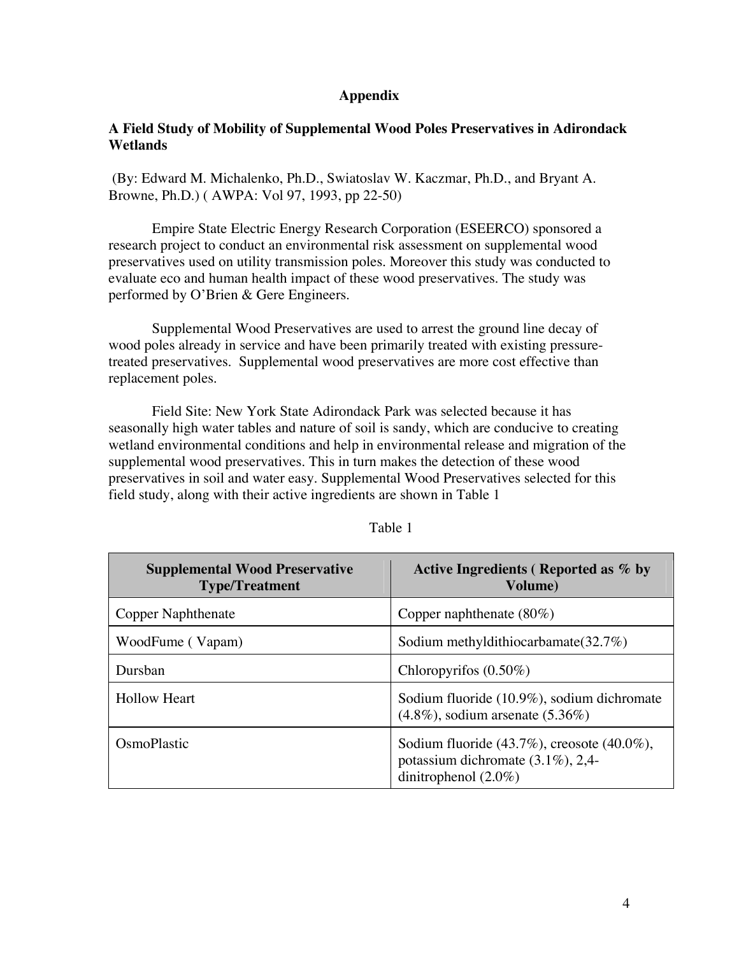#### **Appendix**

#### **A Field Study of Mobility of Supplemental Wood Poles Preservatives in Adirondack Wetlands**

 (By: Edward M. Michalenko, Ph.D., Swiatoslav W. Kaczmar, Ph.D., and Bryant A. Browne, Ph.D.) ( AWPA: Vol 97, 1993, pp 22-50)

Empire State Electric Energy Research Corporation (ESEERCO) sponsored a research project to conduct an environmental risk assessment on supplemental wood preservatives used on utility transmission poles. Moreover this study was conducted to evaluate eco and human health impact of these wood preservatives. The study was performed by O'Brien & Gere Engineers.

Supplemental Wood Preservatives are used to arrest the ground line decay of wood poles already in service and have been primarily treated with existing pressuretreated preservatives. Supplemental wood preservatives are more cost effective than replacement poles.

Field Site: New York State Adirondack Park was selected because it has seasonally high water tables and nature of soil is sandy, which are conducive to creating wetland environmental conditions and help in environmental release and migration of the supplemental wood preservatives. This in turn makes the detection of these wood preservatives in soil and water easy. Supplemental Wood Preservatives selected for this field study, along with their active ingredients are shown in Table 1

| <b>Supplemental Wood Preservative</b><br><b>Type/Treatment</b> | Active Ingredients (Reported as % by<br>Volume)                                                                        |
|----------------------------------------------------------------|------------------------------------------------------------------------------------------------------------------------|
| <b>Copper Naphthenate</b>                                      | Copper naphthenate $(80\%)$                                                                                            |
| WoodFume (Vapam)                                               | Sodium methyldithiocarbamate $(32.7\%)$                                                                                |
| Dursban                                                        | Chloropyrifos $(0.50\%)$                                                                                               |
| <b>Hollow Heart</b>                                            | Sodium fluoride (10.9%), sodium dichromate<br>$(4.8\%)$ , sodium arsenate $(5.36\%)$                                   |
| OsmoPlastic                                                    | Sodium fluoride $(43.7\%)$ , creosote $(40.0\%)$ ,<br>potassium dichromate $(3.1\%)$ , 2,4-<br>dinitrophenol $(2.0\%)$ |

#### Table 1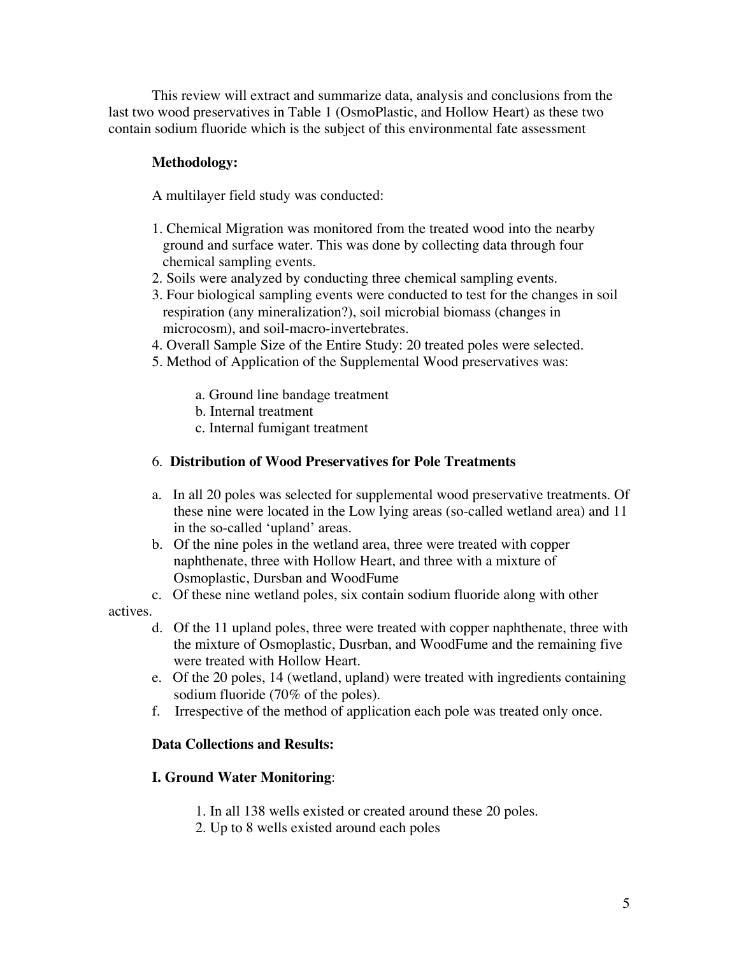This review will extract and summarize data, analysis and conclusions from the last two wood preservatives in Table 1 (OsmoPlastic, and Hollow Heart) as these two contain sodium fluoride which is the subject of this environmental fate assessment

## **Methodology:**

A multilayer field study was conducted:

- 1. Chemical Migration was monitored from the treated wood into the nearby ground and surface water. This was done by collecting data through four chemical sampling events.
- 2. Soils were analyzed by conducting three chemical sampling events.
- 3. Four biological sampling events were conducted to test for the changes in soil respiration (any mineralization?), soil microbial biomass (changes in microcosm), and soil-macro-invertebrates.
- 4. Overall Sample Size of the Entire Study: 20 treated poles were selected.
- 5. Method of Application of the Supplemental Wood preservatives was:
	- a. Ground line bandage treatment
	- b. Internal treatment
	- c. Internal fumigant treatment

## 6. **Distribution of Wood Preservatives for Pole Treatments**

- a. In all 20 poles was selected for supplemental wood preservative treatments. Of these nine were located in the Low lying areas (so-called wetland area) and 11 in the so-called 'upland' areas.
- b. Of the nine poles in the wetland area, three were treated with copper naphthenate, three with Hollow Heart, and three with a mixture of Osmoplastic, Dursban and WoodFume
- c. Of these nine wetland poles, six contain sodium fluoride along with other

actives.

- d. Of the 11 upland poles, three were treated with copper naphthenate, three with the mixture of Osmoplastic, Dusrban, and WoodFume and the remaining five were treated with Hollow Heart.
- e. Of the 20 poles, 14 (wetland, upland) were treated with ingredients containing sodium fluoride (70% of the poles).
- f. Irrespective of the method of application each pole was treated only once.

#### **Data Collections and Results:**

#### **I. Ground Water Monitoring**:

- 1. In all 138 wells existed or created around these 20 poles.
- 2. Up to 8 wells existed around each poles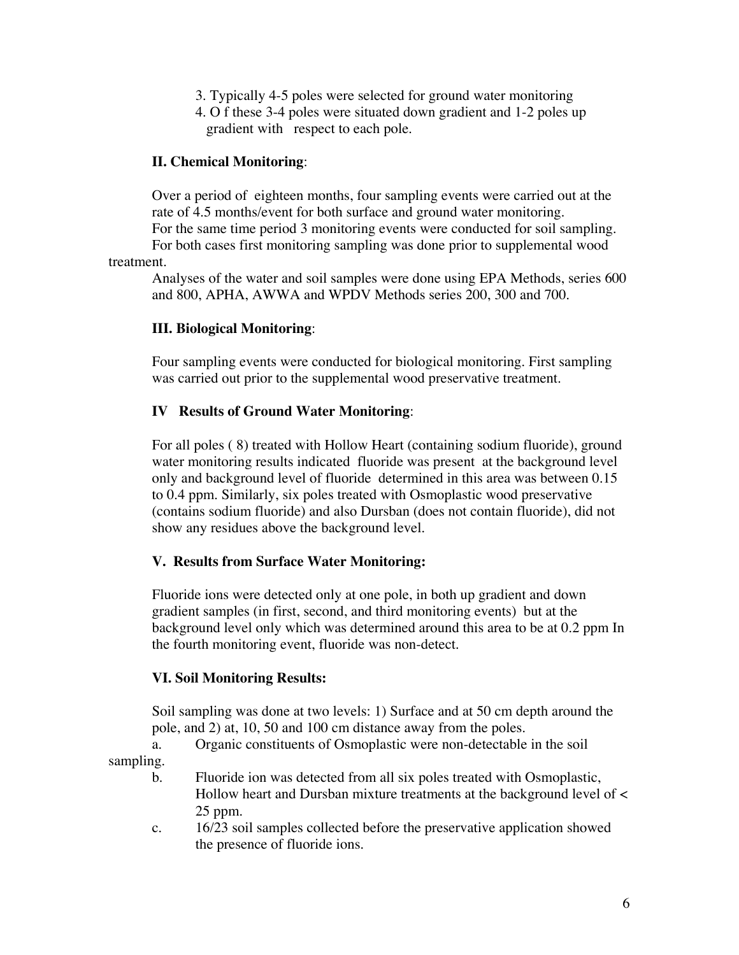- 3. Typically 4-5 poles were selected for ground water monitoring
- 4. O f these 3-4 poles were situated down gradient and 1-2 poles up gradient with respect to each pole.

## **II. Chemical Monitoring**:

Over a period of eighteen months, four sampling events were carried out at the rate of 4.5 months/event for both surface and ground water monitoring. For the same time period 3 monitoring events were conducted for soil sampling. For both cases first monitoring sampling was done prior to supplemental wood treatment.

Analyses of the water and soil samples were done using EPA Methods, series 600 and 800, APHA, AWWA and WPDV Methods series 200, 300 and 700.

## **III. Biological Monitoring**:

Four sampling events were conducted for biological monitoring. First sampling was carried out prior to the supplemental wood preservative treatment.

## **IV Results of Ground Water Monitoring**:

For all poles ( 8) treated with Hollow Heart (containing sodium fluoride), ground water monitoring results indicated fluoride was present at the background level only and background level of fluoride determined in this area was between 0.15 to 0.4 ppm. Similarly, six poles treated with Osmoplastic wood preservative (contains sodium fluoride) and also Dursban (does not contain fluoride), did not show any residues above the background level.

# **V. Results from Surface Water Monitoring:**

Fluoride ions were detected only at one pole, in both up gradient and down gradient samples (in first, second, and third monitoring events) but at the background level only which was determined around this area to be at 0.2 ppm In the fourth monitoring event, fluoride was non-detect.

#### **VI. Soil Monitoring Results:**

Soil sampling was done at two levels: 1) Surface and at 50 cm depth around the pole, and 2) at, 10, 50 and 100 cm distance away from the poles.

a. Organic constituents of Osmoplastic were non-detectable in the soil sampling.

- b. Fluoride ion was detected from all six poles treated with Osmoplastic, Hollow heart and Dursban mixture treatments at the background level of < 25 ppm.
- c. 16/23 soil samples collected before the preservative application showed the presence of fluoride ions.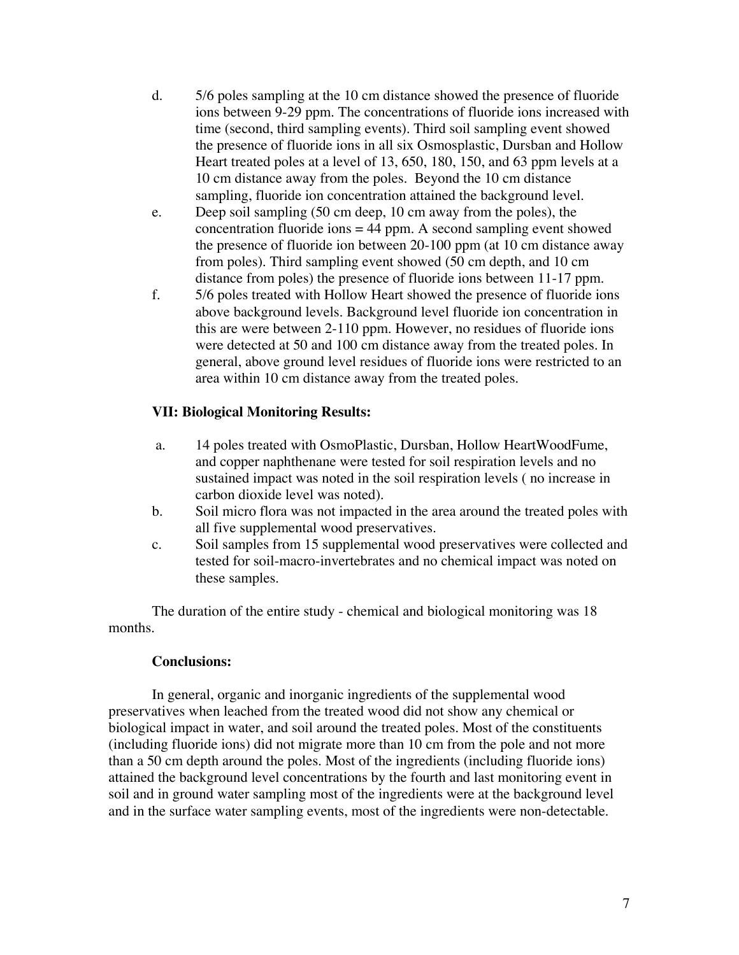- d. 5/6 poles sampling at the 10 cm distance showed the presence of fluoride ions between 9-29 ppm. The concentrations of fluoride ions increased with time (second, third sampling events). Third soil sampling event showed the presence of fluoride ions in all six Osmosplastic, Dursban and Hollow Heart treated poles at a level of 13, 650, 180, 150, and 63 ppm levels at a 10 cm distance away from the poles. Beyond the 10 cm distance sampling, fluoride ion concentration attained the background level.
- e. Deep soil sampling (50 cm deep, 10 cm away from the poles), the concentration fluoride ions  $= 44$  ppm. A second sampling event showed the presence of fluoride ion between 20-100 ppm (at 10 cm distance away from poles). Third sampling event showed (50 cm depth, and 10 cm distance from poles) the presence of fluoride ions between 11-17 ppm.
- f. 5/6 poles treated with Hollow Heart showed the presence of fluoride ions above background levels. Background level fluoride ion concentration in this are were between 2-110 ppm. However, no residues of fluoride ions were detected at 50 and 100 cm distance away from the treated poles. In general, above ground level residues of fluoride ions were restricted to an area within 10 cm distance away from the treated poles.

## **VII: Biological Monitoring Results:**

- a. 14 poles treated with OsmoPlastic, Dursban, Hollow HeartWoodFume, and copper naphthenane were tested for soil respiration levels and no sustained impact was noted in the soil respiration levels ( no increase in carbon dioxide level was noted).
- b. Soil micro flora was not impacted in the area around the treated poles with all five supplemental wood preservatives.
- c. Soil samples from 15 supplemental wood preservatives were collected and tested for soil-macro-invertebrates and no chemical impact was noted on these samples.

The duration of the entire study - chemical and biological monitoring was 18 months.

#### **Conclusions:**

In general, organic and inorganic ingredients of the supplemental wood preservatives when leached from the treated wood did not show any chemical or biological impact in water, and soil around the treated poles. Most of the constituents (including fluoride ions) did not migrate more than 10 cm from the pole and not more than a 50 cm depth around the poles. Most of the ingredients (including fluoride ions) attained the background level concentrations by the fourth and last monitoring event in soil and in ground water sampling most of the ingredients were at the background level and in the surface water sampling events, most of the ingredients were non-detectable.